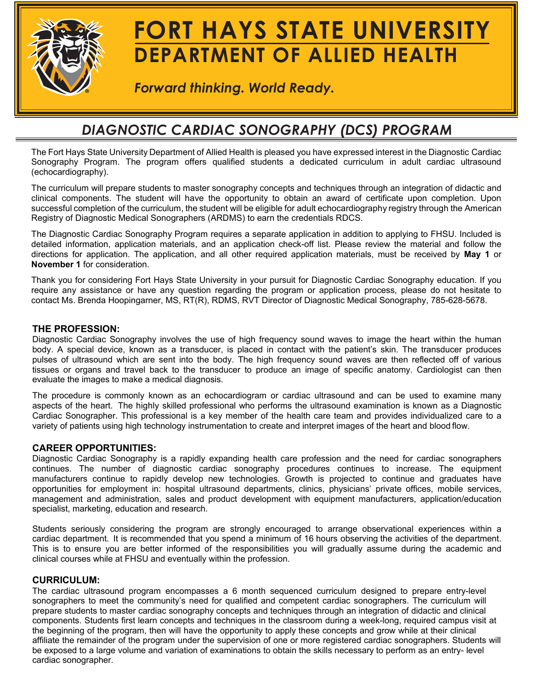

# **FORT HAYS STATE UNIVERSITY DEPARTMENT OF ALLIED HEALTH**

*Forward thinking. World Ready.*

## *DIAGNOSTIC CARDIAC SONOGRAPHY (DCS) PROGRAM*

The Fort Hays State University Department of Allied Health is pleased you have expressed interest in the Diagnostic Cardiac Sonography Program. The program offers qualified students a dedicated curriculum in adult cardiac ultrasound (echocardiography).

The curriculum will prepare students to master sonography concepts and techniques through an integration of didactic and clinical components. The student will have the opportunity to obtain an award of certificate upon completion. Upon successful completion of the curriculum, the student will be eligible for adult echocardiography registry through the American Registry of Diagnostic Medical Sonographers (ARDMS) to earn the credentials RDCS.

The Diagnostic Cardiac Sonography Program requires a separate application in addition to applying to FHSU. Included is detailed information, application materials, and an application check-off list. Please review the material and follow the directions for application. The application, and all other required application materials, must be received by **May 1** or **November 1** for consideration.

Thank you for considering Fort Hays State University in your pursuit for Diagnostic Cardiac Sonography education. If you require any assistance or have any question regarding the program or application process, please do not hesitate to contact Ms. Brenda Hoopingarner, MS, RT(R), RDMS, RVT Director of Diagnostic Medical Sonography, 785-628-5678.

#### **THE PROFESSION:**

Diagnostic Cardiac Sonography involves the use of high frequency sound waves to image the heart within the human body. A special device, known as a transducer, is placed in contact with the patient's skin. The transducer produces pulses of ultrasound which are sent into the body. The high frequency sound waves are then reflected off of various tissues or organs and travel back to the transducer to produce an image of specific anatomy. Cardiologist can then evaluate the images to make a medical diagnosis.

The procedure is commonly known as an echocardiogram or cardiac ultrasound and can be used to examine many aspects of the heart. The highly skilled professional who performs the ultrasound examination is known as a Diagnostic Cardiac Sonographer. This professional is a key member of the health care team and provides individualized care to a variety of patients using high technology instrumentation to create and interpret images of the heart and blood flow.

#### **CAREER OPPORTUNITIES:**

Diagnostic Cardiac Sonography is a rapidly expanding health care profession and the need for cardiac sonographers continues. The number of diagnostic cardiac sonography procedures continues to increase. The equipment manufacturers continue to rapidly develop new technologies. Growth is projected to continue and graduates have opportunities for employment in: hospital ultrasound departments, clinics, physicians' private offices, mobile services, management and administration, sales and product development with equipment manufacturers, application/education specialist, marketing, education and research.

Students seriously considering the program are strongly encouraged to arrange observational experiences within a cardiac department. It is recommended that you spend a minimum of 16 hours observing the activities of the department. This is to ensure you are better informed of the responsibilities you will gradually assume during the academic and clinical courses while at FHSU and eventually within the profession.

#### **CURRICULUM:**

The cardiac ultrasound program encompasses a 6 month sequenced curriculum designed to prepare entry-level sonographers to meet the community's need for qualified and competent cardiac sonographers. The curriculum will prepare students to master cardiac sonography concepts and techniques through an integration of didactic and clinical components. Students first learn concepts and techniques in the classroom during a week-long, required campus visit at the beginning of the program, then will have the opportunity to apply these concepts and grow while at their clinical affiliate the remainder of the program under the supervision of one or more registered cardiac sonographers. Students will be exposed to a large volume and variation of examinations to obtain the skills necessary to perform as an entry- level cardiac sonographer.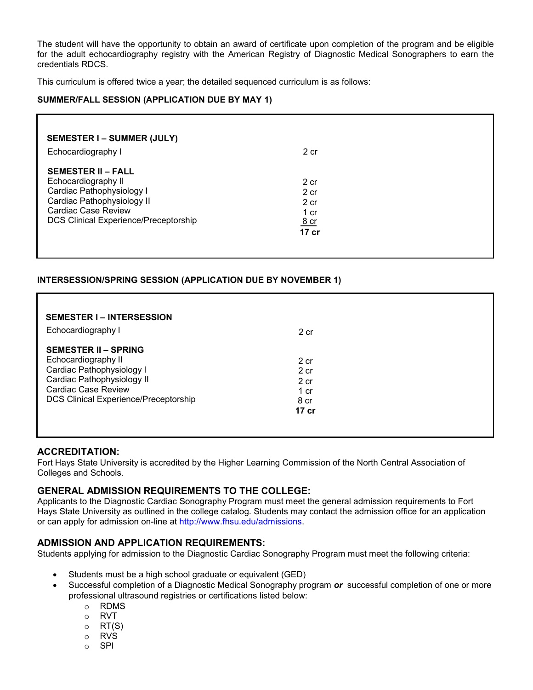The student will have the opportunity to obtain an award of certificate upon completion of the program and be eligible for the adult echocardiography registry with the American Registry of Diagnostic Medical Sonographers to earn the credentials RDCS.

This curriculum is offered twice a year; the detailed sequenced curriculum is as follows:

#### **SUMMER/FALL SESSION (APPLICATION DUE BY MAY 1)**

| <b>SEMESTER I – SUMMER (JULY)</b><br>Echocardiography I                                                                                                                            | 2 cr                                                   |  |
|------------------------------------------------------------------------------------------------------------------------------------------------------------------------------------|--------------------------------------------------------|--|
| <b>SEMESTER II – FALL</b><br>Echocardiography II<br>Cardiac Pathophysiology I<br>Cardiac Pathophysiology II<br><b>Cardiac Case Review</b><br>DCS Clinical Experience/Preceptorship | 2 cr<br>2 cr<br>2 cr<br>1 cr<br><u>8 cr</u><br>$17$ cr |  |

#### **INTERSESSION/SPRING SESSION (APPLICATION DUE BY NOVEMBER 1)**

| <b>SEMESTER I-INTERSESSION</b><br>Echocardiography I                                                                                                                                        | 2 cr                                                 |  |
|---------------------------------------------------------------------------------------------------------------------------------------------------------------------------------------------|------------------------------------------------------|--|
| <b>SEMESTER II – SPRING</b><br>Echocardiography II<br>Cardiac Pathophysiology I<br>Cardiac Pathophysiology II<br><b>Cardiac Case Review</b><br><b>DCS Clinical Experience/Preceptorship</b> | 2 cr<br>2 cr<br>2 cr<br>1 cr<br><u>8 cr</u><br>17 cr |  |

#### **ACCREDITATION:**

Fort Hays State University is accredited by the Higher Learning Commission of the North Central Association of Colleges and Schools.

#### **GENERAL ADMISSION REQUIREMENTS TO THE COLLEGE:**

Applicants to the Diagnostic Cardiac Sonography Program must meet the general admission requirements to Fort Hays State University as outlined in the college catalog. Students may contact the admission office for an application or can apply for admission on-line at [http://www.fhsu.edu/admissions.](http://www.fhsu.edu/admissions)

#### **ADMISSION AND APPLICATION REQUIREMENTS:**

Students applying for admission to the Diagnostic Cardiac Sonography Program must meet the following criteria:

- Students must be a high school graduate or equivalent (GED)
- Successful completion of a Diagnostic Medical Sonography program *or* successful completion of one or more professional ultrasound registries or certifications listed below:
	- o RDMS
	- o RVT
	- $\circ$  RT(S)
	-
	- o RVS<br>o SPI SPI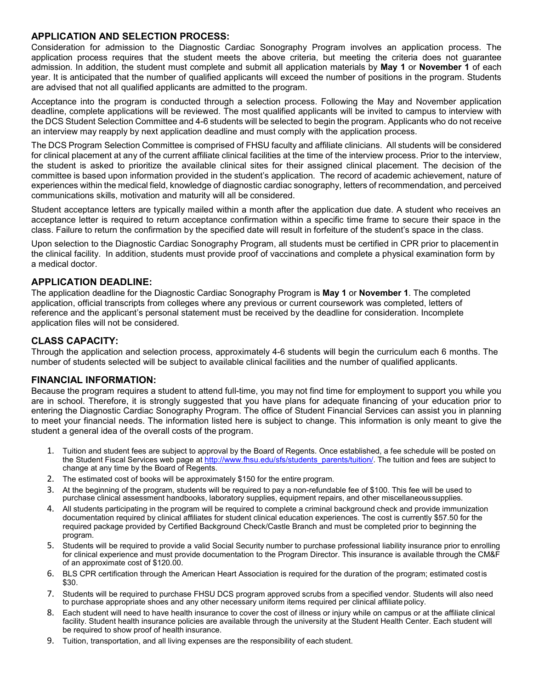#### **APPLICATION AND SELECTION PROCESS:**

Consideration for admission to the Diagnostic Cardiac Sonography Program involves an application process. The application process requires that the student meets the above criteria, but meeting the criteria does not guarantee admission. In addition, the student must complete and submit all application materials by **May 1** or **November 1** of each year. It is anticipated that the number of qualified applicants will exceed the number of positions in the program. Students are advised that not all qualified applicants are admitted to the program.

Acceptance into the program is conducted through a selection process. Following the May and November application deadline, complete applications will be reviewed. The most qualified applicants will be invited to campus to interview with the DCS Student Selection Committee and 4-6 students will be selected to begin the program. Applicants who do not receive an interview may reapply by next application deadline and must comply with the application process.

The DCS Program Selection Committee is comprised of FHSU faculty and affiliate clinicians. All students will be considered for clinical placement at any of the current affiliate clinical facilities at the time of the interview process. Prior to the interview, the student is asked to prioritize the available clinical sites for their assigned clinical placement. The decision of the committee is based upon information provided in the student's application. The record of academic achievement, nature of experiences within the medical field, knowledge of diagnostic cardiac sonography, letters of recommendation, and perceived communications skills, motivation and maturity will all be considered.

Student acceptance letters are typically mailed within a month after the application due date. A student who receives an acceptance letter is required to return acceptance confirmation within a specific time frame to secure their space in the class. Failure to return the confirmation by the specified date will result in forfeiture of the student's space in the class.

Upon selection to the Diagnostic Cardiac Sonography Program, all students must be certified in CPR prior to placementin the clinical facility. In addition, students must provide proof of vaccinations and complete a physical examination form by a medical doctor.

#### **APPLICATION DEADLINE:**

The application deadline for the Diagnostic Cardiac Sonography Program is **May 1** or **November 1**. The completed application, official transcripts from colleges where any previous or current coursework was completed, letters of reference and the applicant's personal statement must be received by the deadline for consideration. Incomplete application files will not be considered.

#### **CLASS CAPACITY:**

Through the application and selection process, approximately 4-6 students will begin the curriculum each 6 months. The number of students selected will be subject to available clinical facilities and the number of qualified applicants.

#### **FINANCIAL INFORMATION:**

Because the program requires a student to attend full-time, you may not find time for employment to support you while you are in school. Therefore, it is strongly suggested that you have plans for adequate financing of your education prior to entering the Diagnostic Cardiac Sonography Program. The office of Student Financial Services can assist you in planning to meet your financial needs. The information listed here is subject to change. This information is only meant to give the student a general idea of the overall costs of the program.

- 1. Tuition and student fees are subject to approval by the Board of Regents. Once established, a fee schedule will be posted on the Student Fiscal Services web page at [http://www.fhsu.edu/sfs/students\\_parents/tuition/. T](http://www.fhsu.edu/sfs/students_parents/tuition/)he tuition and fees are subject to change at any time by the Board of Regents.
- 2. The estimated cost of books will be approximately \$150 for the entire program.
- 3. At the beginning of the program, students will be required to pay a non-refundable fee of \$100. This fee will be used to purchase clinical assessment handbooks, laboratory supplies, equipment repairs, and other miscellaneoussupplies.
- 4. All students participating in the program will be required to complete a criminal background check and provide immunization documentation required by clinical affiliates for student clinical education experiences. The cost is currently \$57.50 for the required package provided by Certified Background Check/Castle Branch and must be completed prior to beginning the program.
- 5. Students will be required to provide a valid Social Security number to purchase professional liability insurance prior to enrolling for clinical experience and must provide documentation to the Program Director. This insurance is available through the CM&F of an approximate cost of \$120.00.
- 6. BLS CPR certification through the American Heart Association is required for the duration of the program; estimated costis \$30.
- 7. Students will be required to purchase FHSU DCS program approved scrubs from a specified vendor. Students will also need to purchase appropriate shoes and any other necessary uniform items required per clinical affiliate policy.
- 8. Each student will need to have health insurance to cover the cost of illness or injury while on campus or at the affiliate clinical facility. Student health insurance policies are available through the university at the Student Health Center. Each student will be required to show proof of health insurance.
- 9. Tuition, transportation, and all living expenses are the responsibility of each student.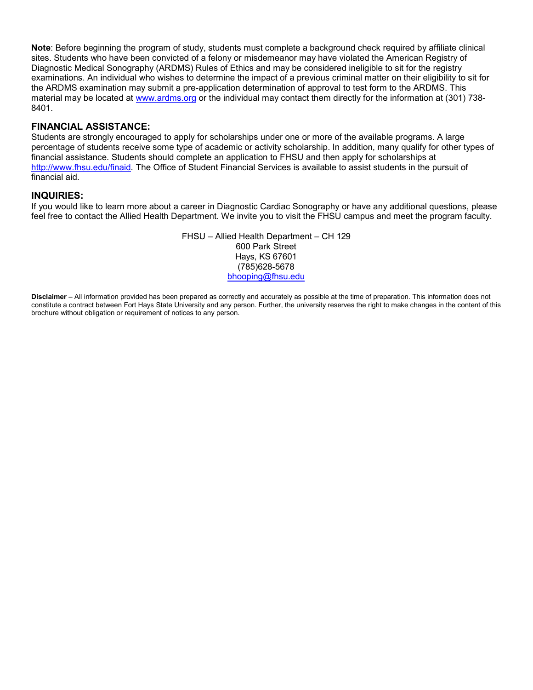**Note**: Before beginning the program of study, students must complete a background check required by affiliate clinical sites. Students who have been convicted of a felony or misdemeanor may have violated the American Registry of Diagnostic Medical Sonography (ARDMS) Rules of Ethics and may be considered ineligible to sit for the registry examinations. An individual who wishes to determine the impact of a previous criminal matter on their eligibility to sit for the ARDMS examination may submit a pre-application determination of approval to test form to the ARDMS. This material may be located at [www.ardms.org](http://www.ardms.org/) or the individual may contact them directly for the information at (301) 738- 8401.

#### **FINANCIAL ASSISTANCE:**

Students are strongly encouraged to apply for scholarships under one or more of the available programs. A large percentage of students receive some type of academic or activity scholarship. In addition, many qualify for other types of financial assistance. Students should complete an application to FHSU and then apply for scholarships at [http://www.fhsu.edu/finaid.](http://www.fhsu.edu/finaid) The Office of Student Financial Services is available to assist students in the pursuit of financial aid.

#### **INQUIRIES:**

If you would like to learn more about a career in Diagnostic Cardiac Sonography or have any additional questions, please feel free to contact the Allied Health Department. We invite you to visit the FHSU campus and meet the program faculty.

> FHSU – Allied Health Department – CH 129 600 Park Street Hays, KS 67601 (785)628-5678 bhooping[@fhsu.edu](mailto:rlkarlin@fhsu.edu)

**Disclaimer** – All information provided has been prepared as correctly and accurately as possible at the time of preparation. This information does not constitute a contract between Fort Hays State University and any person. Further, the university reserves the right to make changes in the content of this brochure without obligation or requirement of notices to any person.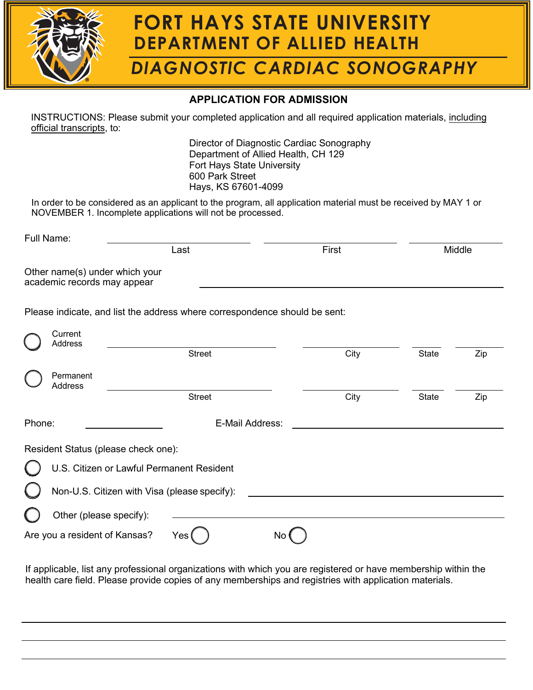

# **FORT HAYS STATE UNIVERSITY DEPARTMENT OF ALLIED HEALTH**

# *DIAGNOSTIC CARDIAC SONOGRAPHY*

### **APPLICATION FOR ADMISSION**

INSTRUCTIONS: Please submit your completed application and all required application materials, including official transcripts, to:

> Director of Diagnostic Cardiac Sonography Department of Allied Health, CH 129 Fort Hays State University 600 Park Street Hays, KS 67601-4099

In order to be considered as an applicant to the program, all application material must be received by MAY 1 or NOVEMBER 1. Incomplete applications will not be processed.

|        | Full Name:                                                    |                                                                            |       |              |        |
|--------|---------------------------------------------------------------|----------------------------------------------------------------------------|-------|--------------|--------|
|        |                                                               | Last                                                                       | First |              | Middle |
|        | Other name(s) under which your<br>academic records may appear |                                                                            |       |              |        |
|        |                                                               | Please indicate, and list the address where correspondence should be sent: |       |              |        |
|        | Current<br>Address                                            |                                                                            |       |              |        |
|        |                                                               | <b>Street</b>                                                              | City  | <b>State</b> | Zip    |
|        | Permanent<br><b>Address</b>                                   |                                                                            |       |              |        |
|        |                                                               | <b>Street</b>                                                              | City  | <b>State</b> | Zip    |
| Phone: |                                                               | E-Mail Address:                                                            |       |              |        |
|        |                                                               | Resident Status (please check one):                                        |       |              |        |
|        |                                                               | U.S. Citizen or Lawful Permanent Resident                                  |       |              |        |
|        |                                                               | Non-U.S. Citizen with Visa (please specify):                               |       |              |        |
|        | Other (please specify):                                       |                                                                            |       |              |        |
|        | Are you a resident of Kansas?                                 | Yes                                                                        | No    |              |        |

If applicable, list any professional organizations with which you are registered or have membership within the health care field. Please provide copies of any memberships and registries with application materials.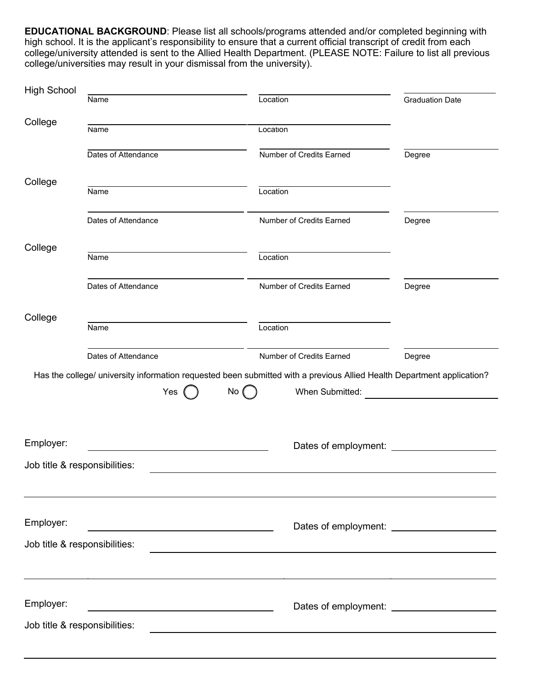**EDUCATIONAL BACKGROUND**: Please list all schools/programs attended and/or completed beginning with high school. It is the applicant's responsibility to ensure that a current official transcript of credit from each college/university attended is sent to the Allied Health Department. (PLEASE NOTE: Failure to list all previous college/universities may result in your dismissal from the university).

| High School | Name                                              | Location                                                                                                                                          | <b>Graduation Date</b> |
|-------------|---------------------------------------------------|---------------------------------------------------------------------------------------------------------------------------------------------------|------------------------|
| College     |                                                   |                                                                                                                                                   |                        |
|             | Name                                              | Location                                                                                                                                          |                        |
|             | Dates of Attendance                               | Number of Credits Earned                                                                                                                          | Degree                 |
| College     | Name                                              | Location                                                                                                                                          |                        |
|             |                                                   |                                                                                                                                                   |                        |
|             | Dates of Attendance                               | Number of Credits Earned                                                                                                                          | Degree                 |
| College     | Name                                              | Location                                                                                                                                          |                        |
|             | Dates of Attendance                               | Number of Credits Earned                                                                                                                          | Degree                 |
| College     | Name                                              | Location                                                                                                                                          |                        |
|             | Dates of Attendance                               | Number of Credits Earned                                                                                                                          | Degree                 |
|             | Yes                                               | Has the college/ university information requested been submitted with a previous Allied Health Department application?<br>No (<br>When Submitted: |                        |
| Employer:   |                                                   | Dates of employment:                                                                                                                              |                        |
|             | Job title & responsibilities:                     |                                                                                                                                                   |                        |
| Employer:   |                                                   |                                                                                                                                                   |                        |
|             | Job title & responsibilities:                     |                                                                                                                                                   |                        |
|             |                                                   |                                                                                                                                                   |                        |
| Employer:   | <u> 1980 - Johann Barbara, martxa alemaniar a</u> |                                                                                                                                                   |                        |
|             | Job title & responsibilities:                     |                                                                                                                                                   |                        |
|             |                                                   |                                                                                                                                                   |                        |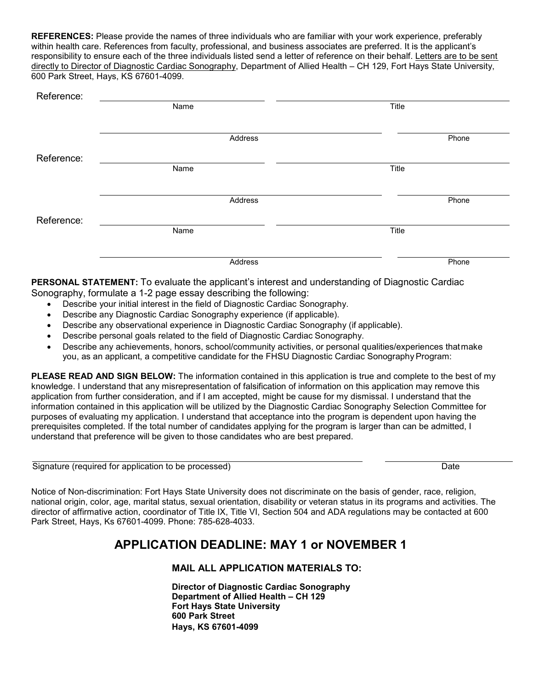**REFERENCES:** Please provide the names of three individuals who are familiar with your work experience, preferably within health care. References from faculty, professional, and business associates are preferred. It is the applicant's responsibility to ensure each of the three individuals listed send a letter of reference on their behalf. Letters are to be sent directly to Director of Diagnostic Cardiac Sonography, Department of Allied Health – CH 129, Fort Hays State University, 600 Park Street, Hays, KS 67601-4099.

| Reference: |         |       |
|------------|---------|-------|
|            | Name    | Title |
|            |         |       |
|            | Address | Phone |
| Reference: |         |       |
|            | Name    | Title |
|            |         |       |
|            | Address | Phone |
| Reference: |         |       |
|            | Name    | Title |
|            |         |       |
|            | Address | Phone |

**PERSONAL STATEMENT:** To evaluate the applicant's interest and understanding of Diagnostic Cardiac Sonography, formulate a 1-2 page essay describing the following:

- Describe your initial interest in the field of Diagnostic Cardiac Sonography.
- Describe any Diagnostic Cardiac Sonography experience (if applicable).
- Describe any observational experience in Diagnostic Cardiac Sonography (if applicable).
- Describe personal goals related to the field of Diagnostic Cardiac Sonography.
- Describe any achievements, honors, school/community activities, or personal qualities/experiences thatmake you, as an applicant, a competitive candidate for the FHSU Diagnostic Cardiac Sonography Program:

**PLEASE READ AND SIGN BELOW:** The information contained in this application is true and complete to the best of my knowledge. I understand that any misrepresentation of falsification of information on this application may remove this application from further consideration, and if I am accepted, might be cause for my dismissal. I understand that the information contained in this application will be utilized by the Diagnostic Cardiac Sonography Selection Committee for purposes of evaluating my application. I understand that acceptance into the program is dependent upon having the prerequisites completed. If the total number of candidates applying for the program is larger than can be admitted, I understand that preference will be given to those candidates who are best prepared.

| Signature (required for application to be processed) | Date |
|------------------------------------------------------|------|
|------------------------------------------------------|------|

Notice of Non-discrimination: Fort Hays State University does not discriminate on the basis of gender, race, religion, national origin, color, age, marital status, sexual orientation, disability or veteran status in its programs and activities. The director of affirmative action, coordinator of Title IX, Title VI, Section 504 and ADA regulations may be contacted at 600 Park Street, Hays, Ks 67601-4099. Phone: 785-628-4033.

### **APPLICATION DEADLINE: MAY 1 or NOVEMBER 1**

#### **MAIL ALL APPLICATION MATERIALS TO:**

**Director of Diagnostic Cardiac Sonography Department of Allied Health – CH 129 Fort Hays State University 600 Park Street Hays, KS 67601-4099**